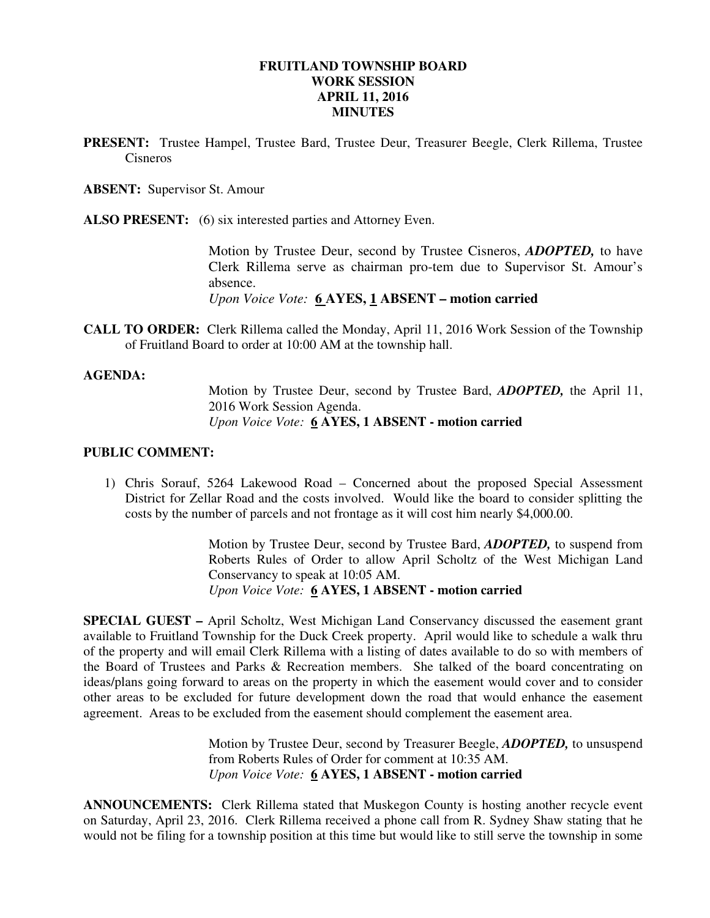### **FRUITLAND TOWNSHIP BOARD WORK SESSION APRIL 11, 2016 MINUTES**

**PRESENT:** Trustee Hampel, Trustee Bard, Trustee Deur, Treasurer Beegle, Clerk Rillema, Trustee Cisneros

**ABSENT:** Supervisor St. Amour

**ALSO PRESENT:** (6) six interested parties and Attorney Even.

Motion by Trustee Deur, second by Trustee Cisneros, *ADOPTED,* to have Clerk Rillema serve as chairman pro-tem due to Supervisor St. Amour's absence.

*Upon Voice Vote:* **6 AYES, 1 ABSENT – motion carried** 

**CALL TO ORDER:** Clerk Rillema called the Monday, April 11, 2016 Work Session of the Township of Fruitland Board to order at 10:00 AM at the township hall.

#### **AGENDA:**

Motion by Trustee Deur, second by Trustee Bard, *ADOPTED,* the April 11, 2016 Work Session Agenda.  *Upon Voice Vote:* **6 AYES, 1 ABSENT - motion carried** 

#### **PUBLIC COMMENT:**

1) Chris Sorauf, 5264 Lakewood Road – Concerned about the proposed Special Assessment District for Zellar Road and the costs involved. Would like the board to consider splitting the costs by the number of parcels and not frontage as it will cost him nearly \$4,000.00.

> Motion by Trustee Deur, second by Trustee Bard, *ADOPTED,* to suspend from Roberts Rules of Order to allow April Scholtz of the West Michigan Land Conservancy to speak at 10:05 AM. *Upon Voice Vote:* **6 AYES, 1 ABSENT - motion carried**

**SPECIAL GUEST –** April Scholtz, West Michigan Land Conservancy discussed the easement grant available to Fruitland Township for the Duck Creek property. April would like to schedule a walk thru of the property and will email Clerk Rillema with a listing of dates available to do so with members of the Board of Trustees and Parks & Recreation members. She talked of the board concentrating on ideas/plans going forward to areas on the property in which the easement would cover and to consider other areas to be excluded for future development down the road that would enhance the easement agreement. Areas to be excluded from the easement should complement the easement area.

> Motion by Trustee Deur, second by Treasurer Beegle, *ADOPTED,* to unsuspend from Roberts Rules of Order for comment at 10:35 AM. *Upon Voice Vote:* **6 AYES, 1 ABSENT - motion carried**

**ANNOUNCEMENTS:** Clerk Rillema stated that Muskegon County is hosting another recycle event on Saturday, April 23, 2016. Clerk Rillema received a phone call from R. Sydney Shaw stating that he would not be filing for a township position at this time but would like to still serve the township in some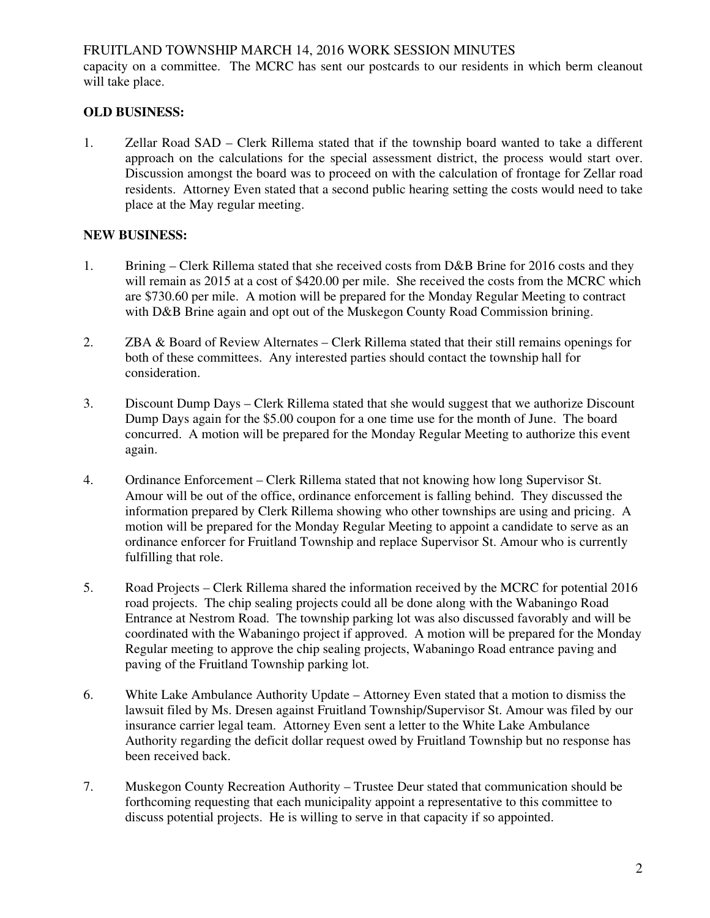## FRUITLAND TOWNSHIP MARCH 14, 2016 WORK SESSION MINUTES

capacity on a committee. The MCRC has sent our postcards to our residents in which berm cleanout will take place.

# **OLD BUSINESS:**

1. Zellar Road SAD – Clerk Rillema stated that if the township board wanted to take a different approach on the calculations for the special assessment district, the process would start over. Discussion amongst the board was to proceed on with the calculation of frontage for Zellar road residents. Attorney Even stated that a second public hearing setting the costs would need to take place at the May regular meeting.

## **NEW BUSINESS:**

- 1. Brining Clerk Rillema stated that she received costs from D&B Brine for 2016 costs and they will remain as 2015 at a cost of \$420.00 per mile. She received the costs from the MCRC which are \$730.60 per mile. A motion will be prepared for the Monday Regular Meeting to contract with D&B Brine again and opt out of the Muskegon County Road Commission brining.
- 2. ZBA & Board of Review Alternates Clerk Rillema stated that their still remains openings for both of these committees. Any interested parties should contact the township hall for consideration.
- 3. Discount Dump Days Clerk Rillema stated that she would suggest that we authorize Discount Dump Days again for the \$5.00 coupon for a one time use for the month of June. The board concurred. A motion will be prepared for the Monday Regular Meeting to authorize this event again.
- 4. Ordinance Enforcement Clerk Rillema stated that not knowing how long Supervisor St. Amour will be out of the office, ordinance enforcement is falling behind. They discussed the information prepared by Clerk Rillema showing who other townships are using and pricing. A motion will be prepared for the Monday Regular Meeting to appoint a candidate to serve as an ordinance enforcer for Fruitland Township and replace Supervisor St. Amour who is currently fulfilling that role.
- 5. Road Projects Clerk Rillema shared the information received by the MCRC for potential 2016 road projects. The chip sealing projects could all be done along with the Wabaningo Road Entrance at Nestrom Road. The township parking lot was also discussed favorably and will be coordinated with the Wabaningo project if approved. A motion will be prepared for the Monday Regular meeting to approve the chip sealing projects, Wabaningo Road entrance paving and paving of the Fruitland Township parking lot.
- 6. White Lake Ambulance Authority Update Attorney Even stated that a motion to dismiss the lawsuit filed by Ms. Dresen against Fruitland Township/Supervisor St. Amour was filed by our insurance carrier legal team. Attorney Even sent a letter to the White Lake Ambulance Authority regarding the deficit dollar request owed by Fruitland Township but no response has been received back.
- 7. Muskegon County Recreation Authority Trustee Deur stated that communication should be forthcoming requesting that each municipality appoint a representative to this committee to discuss potential projects. He is willing to serve in that capacity if so appointed.